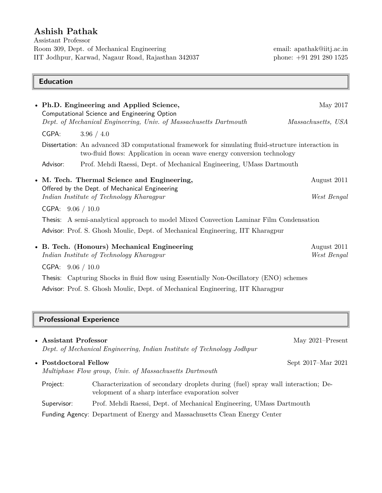# **Ashish Pathak**

Assistant Professor Room 309, Dept. of Mechanical Engineering email: apathak@iitj.ac.in IIT Jodhpur, Karwad, Nagaur Road, Rajasthan 342037 phone: +91 291 280 1525

### **Education**

|                                | • Ph.D. Engineering and Applied Science,                                                                                                                                      | May 2017                   |  |
|--------------------------------|-------------------------------------------------------------------------------------------------------------------------------------------------------------------------------|----------------------------|--|
|                                | Computational Science and Engineering Option<br>Dept. of Mechanical Engineering, Univ. of Massachusetts Dartmouth                                                             | Massachusetts, USA         |  |
| CGPA:                          | 3.96 / 4.0                                                                                                                                                                    |                            |  |
|                                | Dissertation: An advanced 3D computational framework for simulating fluid-structure interaction in<br>two-fluid flows: Application in ocean wave energy conversion technology |                            |  |
| Advisor:                       | Prof. Mehdi Raessi, Dept. of Mechanical Engineering, UMass Dartmouth                                                                                                          |                            |  |
|                                | • M. Tech. Thermal Science and Engineering,<br>Offered by the Dept. of Mechanical Engineering                                                                                 | August 2011                |  |
|                                | Indian Institute of Technology Kharagpur                                                                                                                                      | West Bengal                |  |
| CGPA: $9.06 / 10.0$            |                                                                                                                                                                               |                            |  |
|                                | Thesis: A semi-analytical approach to model Mixed Convection Laminar Film Condensation                                                                                        |                            |  |
|                                | Advisor: Prof. S. Ghosh Moulic, Dept. of Mechanical Engineering, IIT Kharagpur                                                                                                |                            |  |
|                                | • B. Tech. (Honours) Mechanical Engineering<br>Indian Institute of Technology Kharagpur                                                                                       | August 2011<br>West Bengal |  |
| CGPA: $9.06 / 10.0$            |                                                                                                                                                                               |                            |  |
|                                | Thesis: Capturing Shocks in fluid flow using Essentially Non-Oscillatory (ENO) schemes                                                                                        |                            |  |
|                                | Advisor: Prof. S. Ghosh Moulic, Dept. of Mechanical Engineering, IIT Kharagpur                                                                                                |                            |  |
|                                |                                                                                                                                                                               |                            |  |
| <b>Professional Experience</b> |                                                                                                                                                                               |                            |  |
| • Assistant Professor          |                                                                                                                                                                               | May 2021–Present           |  |

|                                                                                  | • Assistant Froiessor | Dept. of Mechanical Engineering, Indian Institute of Technology Jodhpur                                                               | $MAV ZUZI = FIESEIII$ |
|----------------------------------------------------------------------------------|-----------------------|---------------------------------------------------------------------------------------------------------------------------------------|-----------------------|
| • Postdoctoral Fellow<br>Multiphase Flow group, Univ. of Massachusetts Dartmouth |                       | Sept 2017–Mar 2021                                                                                                                    |                       |
|                                                                                  | Project:              | Characterization of secondary droplets during (fuel) spray wall interaction; De-<br>velopment of a sharp interface evaporation solver |                       |
|                                                                                  | Supervisor:           | Prof. Mehdi Raessi, Dept. of Mechanical Engineering, UMass Dartmouth                                                                  |                       |
|                                                                                  |                       | Funding Agency: Department of Energy and Massachusetts Clean Energy Center                                                            |                       |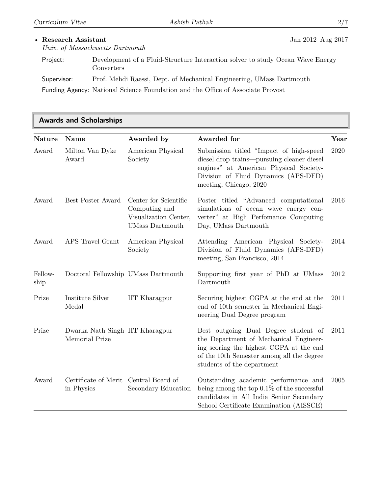**Awards and Scholarships**

| <b>Nature</b>   | Name                                                | Awarded by                                                                                | Awarded for                                                                                                                                                                                          | Year |
|-----------------|-----------------------------------------------------|-------------------------------------------------------------------------------------------|------------------------------------------------------------------------------------------------------------------------------------------------------------------------------------------------------|------|
| Award           | Milton Van Dyke<br>Award                            | American Physical<br>Society                                                              | Submission titled "Impact of high-speed<br>diesel drop trains—pursuing cleaner diesel<br>engines" at American Physical Society-<br>Division of Fluid Dynamics (APS-DFD)<br>meeting, Chicago, 2020    | 2020 |
| Award           | Best Poster Award                                   | Center for Scientific<br>Computing and<br>Visualization Center,<br><b>UMass Dartmouth</b> | Poster titled "Advanced computational<br>simulations of ocean wave energy con-<br>verter" at High Perfomance Computing<br>Day, UMass Dartmouth                                                       | 2016 |
| Award           | APS Travel Grant                                    | American Physical<br>Society                                                              | Attending American Physical Society-<br>Division of Fluid Dynamics (APS-DFD)<br>meeting, San Francisco, 2014                                                                                         | 2014 |
| Fellow-<br>ship | Doctoral Fellowship UMass Dartmouth                 |                                                                                           | Supporting first year of PhD at UMass<br>Dartmouth                                                                                                                                                   | 2012 |
| Prize           | Institute Silver<br>Medal                           | <b>IIT</b> Kharagpur                                                                      | Securing highest CGPA at the end at the<br>end of 10th semester in Mechanical Engi-<br>neering Dual Degree program                                                                                   | 2011 |
| Prize           | Dwarka Nath Singh IIT Kharagpur<br>Memorial Prize   |                                                                                           | Best outgoing Dual Degree student of<br>the Department of Mechanical Engineer-<br>ing scoring the highest CGPA at the end<br>of the 10th Semester among all the degree<br>students of the department | 2011 |
| Award           | Certificate of Merit Central Board of<br>in Physics | Secondary Education                                                                       | Outstanding academic performance and<br>being among the top $0.1\%$ of the successful<br>candidates in All India Senior Secondary<br>School Certificate Examination (AISSCE)                         | 2005 |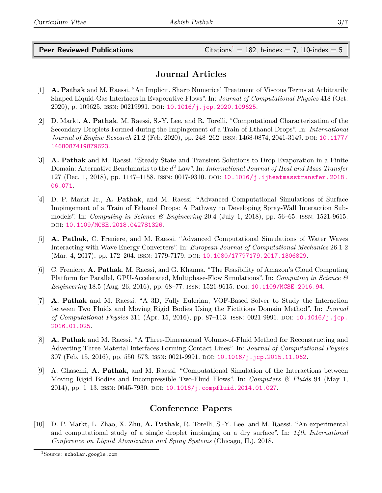**Peer Reviewed Publications** Citations<sup>[1](#page-2-0)</sup> = 182, h-index = 7, i10-index = 5

# **Journal Articles**

- [1] **A. Pathak** and M. Raessi. "An Implicit, Sharp Numerical Treatment of Viscous Terms at Arbitrarily Shaped Liquid-Gas Interfaces in Evaporative Flows". In: *Journal of Computational Physics* 418 (Oct. 2020), p. 109625. ISSN: 00219991. DOI: [10.1016/j.jcp.2020.109625](https://doi.org/10.1016/j.jcp.2020.109625).
- [2] D. Markt, **A. Pathak**, M. Raessi, S.-Y. Lee, and R. Torelli. "Computational Characterization of the Secondary Droplets Formed during the Impingement of a Train of Ethanol Drops". In: *International Journal of Engine Research* 21.2 (Feb. 2020), pp. 248–262. ISSN: 1468-0874, 2041-3149. DOI: [10.1177/](https://doi.org/10.1177/1468087419879623) [1468087419879623](https://doi.org/10.1177/1468087419879623).
- [3] **A. Pathak** and M. Raessi. "Steady-State and Transient Solutions to Drop Evaporation in a Finite Domain: Alternative Benchmarks to the *d* <sup>2</sup> Law". In: *International Journal of Heat and Mass Transfer* 127 (Dec. 1, 2018), pp. 1147–1158. issn: 0017-9310. doi: [10.1016/j.ijheatmasstransfer.2018.](https://doi.org/10.1016/j.ijheatmasstransfer.2018.06.071) [06.071](https://doi.org/10.1016/j.ijheatmasstransfer.2018.06.071).
- [4] D. P. Markt Jr., **A. Pathak**, and M. Raessi. "Advanced Computational Simulations of Surface Impingement of a Train of Ethanol Drops: A Pathway to Developing Spray-Wall Interaction Submodels". In: *Computing in Science & Engineering* 20.4 (July 1, 2018), pp. 56–65. issn: 1521-9615. doi: [10.1109/MCSE.2018.042781326](https://doi.org/10.1109/MCSE.2018.042781326).
- [5] **A. Pathak**, C. Freniere, and M. Raessi. "Advanced Computational Simulations of Water Waves Interacting with Wave Energy Converters". In: *European Journal of Computational Mechanics* 26.1-2 (Mar. 4, 2017), pp. 172–204. issn: 1779-7179. doi: [10.1080/17797179.2017.1306829](https://doi.org/10.1080/17797179.2017.1306829).
- [6] C. Freniere, **A. Pathak**, M. Raessi, and G. Khanna. "The Feasibility of Amazon's Cloud Computing Platform for Parallel, GPU-Accelerated, Multiphase-Flow Simulations". In: *Computing in Science & Engineering* 18.5 (Aug. 26, 2016), pp. 68–77. ISSN: 1521-9615. DOI: [10.1109/MCSE.2016.94](https://doi.org/10.1109/MCSE.2016.94).
- [7] **A. Pathak** and M. Raessi. "A 3D, Fully Eulerian, VOF-Based Solver to Study the Interaction between Two Fluids and Moving Rigid Bodies Using the Fictitious Domain Method". In: *Journal of Computational Physics* 311 (Apr. 15, 2016), pp. 87–113. issn: 0021-9991. doi: [10.1016/j.jcp.](https://doi.org/10.1016/j.jcp.2016.01.025) [2016.01.025](https://doi.org/10.1016/j.jcp.2016.01.025).
- [8] **A. Pathak** and M. Raessi. "A Three-Dimensional Volume-of-Fluid Method for Reconstructing and Advecting Three-Material Interfaces Forming Contact Lines". In: *Journal of Computational Physics* 307 (Feb. 15, 2016), pp. 550–573. issn: 0021-9991. doi: [10.1016/j.jcp.2015.11.062](https://doi.org/10.1016/j.jcp.2015.11.062).
- [9] A. Ghasemi, **A. Pathak**, and M. Raessi. "Computational Simulation of the Interactions between Moving Rigid Bodies and Incompressible Two-Fluid Flows". In: *Computers & Fluids* 94 (May 1, 2014), pp. 1–13. issn: 0045-7930. doi: [10.1016/j.compfluid.2014.01.027](https://doi.org/10.1016/j.compfluid.2014.01.027).

# **Conference Papers**

[10] D. P. Markt, L. Zhao, X. Zhu, **A. Pathak**, R. Torelli, S.-Y. Lee, and M. Raessi. "An experimental and computational study of a single droplet impinging on a dry surface". In: *14th International Conference on Liquid Atomization and Spray Systems* (Chicago, IL). 2018.

<span id="page-2-0"></span> $1$ Source: scholar.google.com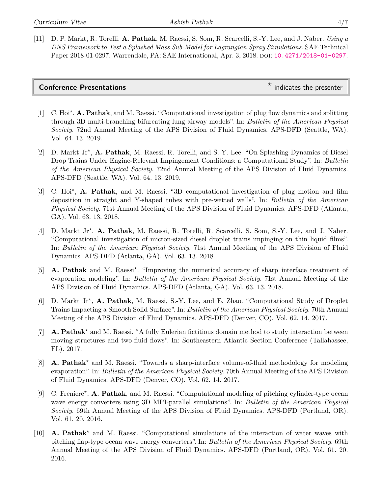[11] D. P. Markt, R. Torelli, **A. Pathak**, M. Raessi, S. Som, R. Scarcelli, S.-Y. Lee, and J. Naber. *Using a DNS Framework to Test a Splashed Mass Sub-Model for Lagrangian Spray Simulations*. SAE Technical Paper 2018-01-0297. Warrendale, PA: SAE International, Apr. 3, 2018. DOI: [10.4271/2018-01-0297](https://doi.org/10.4271/2018-01-0297).

| <b>Conference Presentations</b> |  |
|---------------------------------|--|
|                                 |  |

 $*$  indicates the presenter

- [1] C. Hoi<sup>\*</sup>, **A. Pathak**, and M. Raessi. "Computational investigation of plug flow dynamics and splitting through 3D multi-branching bifurcating lung airway models". In: *Bulletin of the American Physical Society*. 72nd Annual Meeting of the APS Division of Fluid Dynamics. APS-DFD (Seattle, WA). Vol. 64. 13. 2019.
- [2] D. Markt Jr<sup>\*</sup>, **A. Pathak**, M. Raessi, R. Torelli, and S.-Y. Lee. "On Splashing Dynamics of Diesel Drop Trains Under Engine-Relevant Impingement Conditions: a Computational Study". In: *Bulletin of the American Physical Society*. 72nd Annual Meeting of the APS Division of Fluid Dynamics. APS-DFD (Seattle, WA). Vol. 64. 13. 2019.
- [3] C. Hoi<sup>\*</sup>, **A. Pathak**, and M. Raessi. "3D computational investigation of plug motion and film deposition in straight and Y-shaped tubes with pre-wetted walls". In: *Bulletin of the American Physical Society*. 71st Annual Meeting of the APS Division of Fluid Dynamics. APS-DFD (Atlanta, GA). Vol. 63. 13. 2018.
- [4] D. Markt Jr<sup>\*</sup>, A. Pathak, M. Raessi, R. Torelli, R. Scarcelli, S. Som, S.-Y. Lee, and J. Naber. "Computational investigation of micron-sized diesel droplet trains impinging on thin liquid films". In: *Bulletin of the American Physical Society*. 71st Annual Meeting of the APS Division of Fluid Dynamics. APS-DFD (Atlanta, GA). Vol. 63. 13. 2018.
- [5] **A. Pathak** and M. Raessi<sup>\*</sup>. "Improving the numerical accuracy of sharp interface treatment of evaporation modeling". In: *Bulletin of the American Physical Society*. 71st Annual Meeting of the APS Division of Fluid Dynamics. APS-DFD (Atlanta, GA). Vol. 63. 13. 2018.
- [6] D. Markt Jr<sup>\*</sup>, A. Pathak, M. Raessi, S.-Y. Lee, and E. Zhao. "Computational Study of Droplet Trains Impacting a Smooth Solid Surface". In: *Bulletin of the American Physical Society*. 70th Annual Meeting of the APS Division of Fluid Dynamics. APS-DFD (Denver, CO). Vol. 62. 14. 2017.
- [7] **A. Pathak<sup>\*</sup>** and M. Raessi. "A fully Eulerian fictitious domain method to study interaction between moving structures and two-fluid flows". In: Southeastern Atlantic Section Conference (Tallahassee, FL). 2017.
- [8] **A. Pathak<sup>\*</sup>** and M. Raessi. "Towards a sharp-interface volume-of-fluid methodology for modeling evaporation". In: *Bulletin of the American Physical Society*. 70th Annual Meeting of the APS Division of Fluid Dynamics. APS-DFD (Denver, CO). Vol. 62. 14. 2017.
- [9] C. Freniere<sup>\*</sup>, **A. Pathak**, and M. Raessi. "Computational modeling of pitching cylinder-type ocean wave energy converters using 3D MPI-parallel simulations". In: *Bulletin of the American Physical Society*. 69th Annual Meeting of the APS Division of Fluid Dynamics. APS-DFD (Portland, OR). Vol. 61. 20. 2016.
- [10] **A. Pathak<sup>\*</sup>** and M. Raessi. "Computational simulations of the interaction of water waves with pitching flap-type ocean wave energy converters". In: *Bulletin of the American Physical Society*. 69th Annual Meeting of the APS Division of Fluid Dynamics. APS-DFD (Portland, OR). Vol. 61. 20. 2016.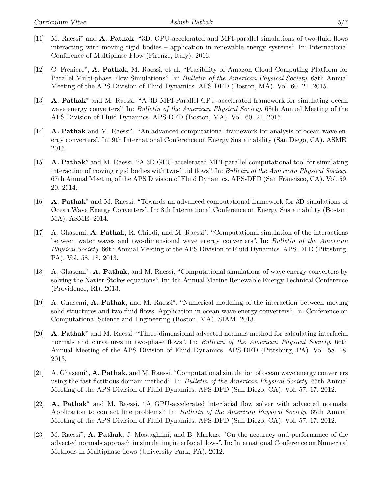- [11] M. Raessi<sup>\*</sup> and **A. Pathak**. "3D, GPU-accelerated and MPI-parallel simulations of two-fluid flows interacting with moving rigid bodies – application in renewable energy systems". In: International Conference of Multiphase Flow (Firenze, Italy). 2016.
- [12] C. Freniere<sup>\*</sup>, A. Pathak, M. Raessi, et al. "Feasibility of Amazon Cloud Computing Platform for Parallel Multi-phase Flow Simulations". In: *Bulletin of the American Physical Society*. 68th Annual Meeting of the APS Division of Fluid Dynamics. APS-DFD (Boston, MA). Vol. 60. 21. 2015.
- [13] **A. Pathak<sup>\*</sup>** and M. Raessi. "A 3D MPI-Parallel GPU-accelerated framework for simulating ocean wave energy converters". In: *Bulletin of the American Physical Society*. 68th Annual Meeting of the APS Division of Fluid Dynamics. APS-DFD (Boston, MA). Vol. 60. 21. 2015.
- [14] **A. Pathak** and M. Raessi<sup>\*</sup>. "An advanced computational framework for analysis of ocean wave energy converters". In: 9th International Conference on Energy Sustainability (San Diego, CA). ASME. 2015.
- [15] **A. Pathak<sup>\*</sup>** and M. Raessi. "A 3D GPU-accelerated MPI-parallel computational tool for simulating interaction of moving rigid bodies with two-fluid flows". In: *Bulletin of the American Physical Society*. 67th Annual Meeting of the APS Division of Fluid Dynamics. APS-DFD (San Francisco, CA). Vol. 59. 20. 2014.
- [16] **A. Pathak**<sup>\*</sup> and M. Raessi. "Towards an advanced computational framework for 3D simulations of Ocean Wave Energy Converters". In: 8th International Conference on Energy Sustainability (Boston, MA). ASME. 2014.
- [17] A. Ghasemi, A. Pathak, R. Chiodi, and M. Raessi<sup>\*</sup>. "Computational simulation of the interactions between water waves and two-dimensional wave energy converters". In: *Bulletin of the American Physical Society*. 66th Annual Meeting of the APS Division of Fluid Dynamics. APS-DFD (Pittsburg, PA). Vol. 58. 18. 2013.
- [18] A. Ghasemi<sup>\*</sup>, **A. Pathak**, and M. Raessi. "Computational simulations of wave energy converters by solving the Navier-Stokes equations". In: 4th Annual Marine Renewable Energy Technical Conference (Providence, RI). 2013.
- [19] A. Ghasemi, A. Pathak, and M. Raessi<sup>\*</sup>. "Numerical modeling of the interaction between moving solid structures and two-fluid flows: Application in ocean wave energy converters". In: Conference on Computational Science and Engineering (Boston, MA). SIAM. 2013.
- [20] **A. Pathak<sup>\*</sup>** and M. Raessi. "Three-dimensional advected normals method for calculating interfacial normals and curvatures in two-phase flows". In: *Bulletin of the American Physical Society*. 66th Annual Meeting of the APS Division of Fluid Dynamics. APS-DFD (Pittsburg, PA). Vol. 58. 18. 2013.
- [21] A. Ghasemi<sup>\*</sup>, A. Pathak, and M. Raessi. "Computational simulation of ocean wave energy converters using the fast fictitious domain method". In: *Bulletin of the American Physical Society*. 65th Annual Meeting of the APS Division of Fluid Dynamics. APS-DFD (San Diego, CA). Vol. 57. 17. 2012.
- [22] **A. Pathak**<sup>\*</sup> and M. Raessi. "A GPU-accelerated interfacial flow solver with advected normals: Application to contact line problems". In: *Bulletin of the American Physical Society*. 65th Annual Meeting of the APS Division of Fluid Dynamics. APS-DFD (San Diego, CA). Vol. 57. 17. 2012.
- [23] M. Raessi<sup>\*</sup>, A. Pathak, J. Mostaghimi, and B. Markus. "On the accuracy and performance of the advected normals approach in simulating interfacial flows". In: International Conference on Numerical Methods in Multiphase flows (University Park, PA). 2012.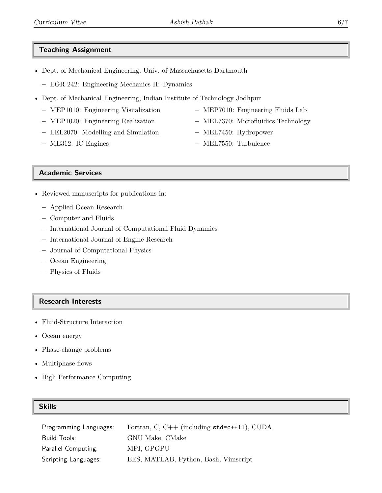## **Teaching Assignment**

- Dept. of Mechanical Engineering, Univ. of Massachusetts Dartmouth
	- **–** EGR 242: Engineering Mechanics II: Dynamics
- Dept. of Mechanical Engineering, Indian Institute of Technology Jodhpur
	- **–** MEP1010: Engineering Visualization
	- **–** MEP1020: Engineering Realization
	- **–** EEL2070: Modelling and Simulation
	- **–** ME312: IC Engines
- **–** MEP7010: Engineering Fluids Lab
- **–** MEL7370: Microfluidics Technology
- **–** MEL7450: Hydropower
- **–** MEL7550: Turbulence

### **Academic Services**

- Reviewed manuscripts for publications in:
	- **–** Applied Ocean Research
	- **–** Computer and Fluids
	- **–** International Journal of Computational Fluid Dynamics
	- **–** International Journal of Engine Research
	- **–** Journal of Computational Physics
	- **–** Ocean Engineering
	- **–** Physics of Fluids

#### **Research Interests**

- Fluid-Structure Interaction
- Ocean energy
- Phase-change problems
- Multiphase flows
- High Performance Computing

#### **Skills**

| Programming Languages: | Fortran, C, $C++$ (including $std=c++11$ ), CUDA |
|------------------------|--------------------------------------------------|
| Build Tools:           | GNU Make, CMake                                  |
| Parallel Computing:    | MPI, GPGPU                                       |
| Scripting Languages:   | EES, MATLAB, Python, Bash, Vimscript             |